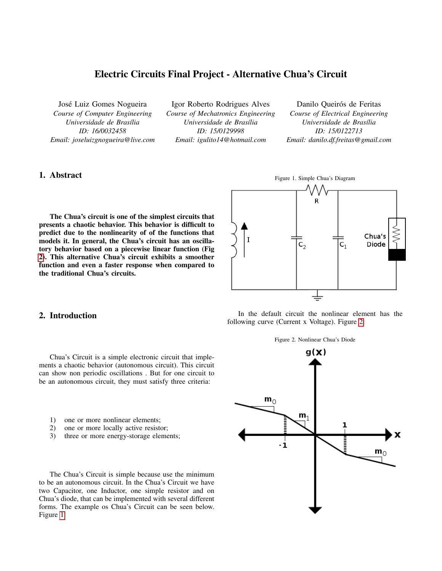# Electric Circuits Final Project - Alternative Chua's Circuit

José Luiz Gomes Nogueira *Course of Computer Engineering Universidade de Brasília ID: 16/0032458 Email: joseluizgnogueira@live.com*

Igor Roberto Rodrigues Alves *Course of Mechatronics Engineering Universidade de Brasília ID: 15/0129998 Email: igulito14@hotmail.com*

Danilo Queirós de Feritas

<span id="page-0-1"></span>*Course of Electrical Engineering Universidade de Brasília ID: 15/0122713 Email: danilo.df.freitas@gmail.com*

# 1. Abstract

The Chua's circuit is one of the simplest circuits that presents a chaotic behavior. This behavior is difficult to predict due to the nonlinearity of of the functions that models it. In general, the Chua's circuit has an oscillatory behavior based on a piecewise linear function (Fig [2\)](#page-0-0). This alternative Chua's circuit exhibits a smoother function and even a faster response when compared to the traditional Chua's circuits.



<span id="page-0-0"></span>In the default circuit the nonlinear element has the

following curve (Current x Voltage). Figure [2:](#page-0-0)

### 2. Introduction

Chua's Circuit is a simple electronic circuit that implements a chaotic behavior (autonomous circuit). This circuit can show non periodic oscillations . But for one circuit to be an autonomous circuit, they must satisfy three criteria:

- 1) one or more nonlinear elements;
- 2) one or more locally active resistor;
- 3) three or more energy-storage elements;

The Chua's Circuit is simple because use the minimum to be an autonomous circuit. In the Chua's Circuit we have two Capacitor, one Inductor, one simple resistor and on Chua's diode, that can be implemented with several different forms. The example os Chua's Circuit can be seen below. Figure [1.](#page-0-1)

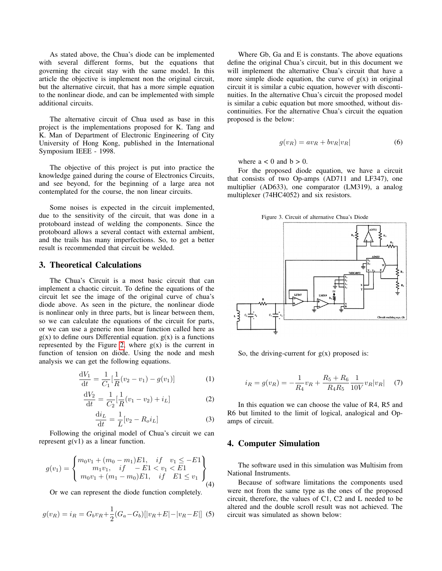As stated above, the Chua's diode can be implemented with several different forms, but the equations that governing the circuit stay with the same model. In this article the objective is implement non the original circuit, but the alternative circuit, that has a more simple equation to the nonlinear diode, and can be implemented with simple additional circuits.

The alternative circuit of Chua used as base in this project is the implementations proposed for K. Tang and K. Man of Department of Electronic Engineering of City University of Hong Kong, published in the International Symposium IEEE - 1998.

The objective of this project is put into practice the knowledge gained during the course of Electronics Circuits, and see beyond, for the beginning of a large area not contemplated for the course, the non linear circuits.

Some noises is expected in the circuit implemented, due to the sensitivity of the circuit, that was done in a protoboard instead of welding the components. Since the protoboard allows a several contact with external ambient, and the trails has many imperfections. So, to get a better result is recommended that circuit be welded.

#### 3. Theoretical Calculations

The Chua's Circuit is a most basic circuit that can implement a chaotic circuit. To define the equations of the circuit let see the image of the original curve of chua's diode above. As seen in the picture, the nonlinear diode is nonlinear only in three parts, but is linear between them, so we can calculate the equations of the circuit for parts, or we can use a generic non linear function called here as  $g(x)$  to define ours Differential equation.  $g(x)$  is a functions represented by the Figure [2,](#page-0-0) where  $g(x)$  is the current in function of tension on diode. Using the node and mesh analysis we can get the following equations.

$$
\frac{dV_1}{dt} = \frac{1}{C_1} \left[ \frac{1}{R} (v_2 - v_1) - g(v_1) \right]
$$
 (1)

$$
\frac{dV_2}{dt} = \frac{1}{C_2} \left[ \frac{1}{R} (v_1 - v_2) + i_L \right]
$$
 (2)

$$
\frac{\mathrm{d}i_L}{\mathrm{d}t} = \frac{1}{L} [v_2 - R_o i_L] \tag{3}
$$

Following the original model of Chua's circuit we can represent  $g(v1)$  as a linear function.

$$
g(v_1) = \begin{cases} m_0v_1 + (m_0 - m_1)E1, & if \quad v_1 \le -E1 \\ m_1v_1, & if \quad -E1 < v_1 < E1 \\ m_0v_1 + (m_1 - m_0)E1, & if \quad E1 \le v_1 \end{cases}
$$
(4)

Or we can represent the diode function completely.

$$
g(v_R) = i_R = G_b v_R + \frac{1}{2} (G_a - G_b) [ |v_R + E| - |v_R - E| ]
$$
 (5)

Where Gb, Ga and E is constants. The above equations define the original Chua's circuit, but in this document we will implement the alternative Chua's circuit that have a more simple diode equation, the curve of  $g(x)$  in original circuit it is similar a cubic equation, however with discontinuities. In the alternative Chua's circuit the proposed model is similar a cubic equation but more smoothed, without discontinuities. For the alternative Chua's circuit the equation proposed is the below:

$$
g(v_R) = av_R + bv_R|v_R|
$$
 (6)

where  $a < 0$  and  $b > 0$ .

For the proposed diode equation, we have a circuit that consists of two Op-amps (AD711 and LF347), one multiplier (AD633), one comparator (LM319), a analog multiplexer (74HC4052) and six resistors.

<span id="page-1-0"></span>



So, the driving-current for  $g(x)$  proposed is:

$$
i_R = g(v_R) = -\frac{1}{R_4}v_R + \frac{R_5 + R_6}{R_4 R_5} \frac{1}{10V} v_R |v_R| \quad (7)
$$

In this equation we can choose the value of R4, R5 and R6 but limited to the limit of logical, analogical and Opamps of circuit.

# 4. Computer Simulation

The software used in this simulation was Multisim from National Instruments.

Because of software limitations the components used were not from the same type as the ones of the proposed circuit, therefore, the values of C1, C2 and L needed to be altered and the double scroll result was not achieved. The circuit was simulated as shown below: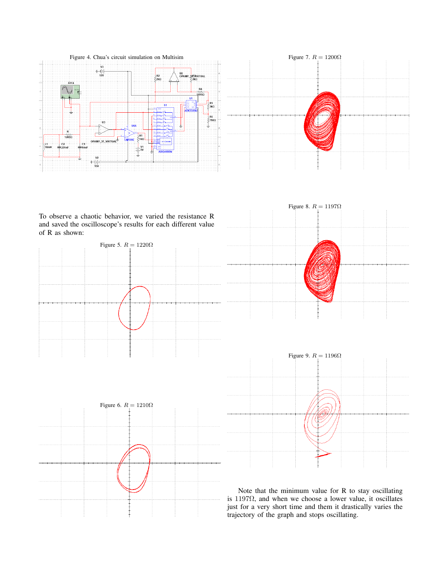



To observe a chaotic behavior, we varied the resistance R and saved the oscilloscope's results for each different value of R as shown:









Note that the minimum value for R to stay oscillating is 1197 $\Omega$ , and when we choose a lower value, it oscillates just for a very short time and them it drastically varies the trajectory of the graph and stops oscillating.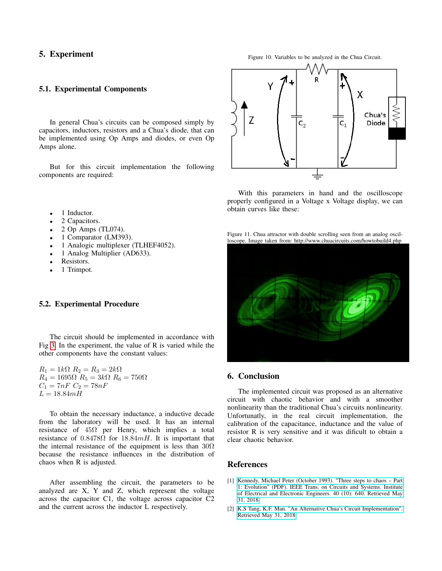# 5. Experiment

#### 5.1. Experimental Components

In general Chua's circuits can be composed simply by capacitors, inductors, resistors and a Chua's diode, that can be implemented using Op Amps and diodes, or even Op Amps alone.

But for this circuit implementation the following components are required:

- 1 Inductor.
- 2 Capacitors.
- 2 Op Amps (TL074).
- 1 Comparator (LM393).
- 1 Analogic multiplexer (TLHEF4052).
- 1 Analog Multiplier (AD633).
- Resistors.
- 1 Trimpot.

#### 5.2. Experimental Procedure

The circuit should be implemented in accordance with Fig [3.](#page-1-0) In the experiment, the value of R is varied while the other components have the constant values:

 $R_1 = 1k\Omega$   $R_2 = R_3 = 2k\Omega$  $R_4 = 1695\Omega$   $R_5 = 3k\Omega$   $R_6 = 750\Omega$  $C_1 = 7nF \ C_2 = 78nF$  $L = 18.84mH$ 

To obtain the necessary inductance, a inductive decade from the laboratory will be used. It has an internal resistance of  $45\Omega$  per Henry, which implies a total resistance of  $0.8478\Omega$  for  $18.84mH$ . It is important that the internal resistance of the equipment is less than  $30\Omega$ because the resistance influences in the distribution of chaos when R is adjusted.

After assembling the circuit, the parameters to be analyzed are X, Y and Z, which represent the voltage across the capacitor C1, the voltage across capacitor C2 and the current across the inductor L respectively.

Figure 10. Variables to be analyzed in the Chua Circuit.



With this parameters in hand and the oscilloscope properly configured in a Voltage x Voltage display, we can obtain curves like these:

Figure 11. Chua attractor with double scrolling seen from an analog oscilloscope. Image taken from: http://www.chuacircuits.com/howtobuild4.php



# 6. Conclusion

The implemented circuit was proposed as an alternative circuit with chaotic behavior and with a smoother nonlinearity than the traditional Chua's circuits nonlinearity. Unfortunatly, in the real circuit implementation, the calibration of the capacitance, inductance and the value of resistor R is very sensitive and it was dificult to obtain a clear chaotic behavior.

### References

- [1] [Kennedy, Michael Peter \(October 1993\). "Three steps to chaos Part](https://people.eecs.berkeley.edu/~chua/papers/Kennedy93.pdf) [1: Evolution" \(PDF\). IEEE Trans. on Circuits and Systems. Institute](https://people.eecs.berkeley.edu/~chua/papers/Kennedy93.pdf) [of Electrical and Electronic Engineers. 40 \(10\): 640. Retrieved May](https://people.eecs.berkeley.edu/~chua/papers/Kennedy93.pdf) [31, 2018](https://people.eecs.berkeley.edu/~chua/papers/Kennedy93.pdf)
- [2] [K.S Tang, K.F. Man. "An Alternative Chua's Circuit Implementation".](https://www.researchgate.net/publication/3763733_An_alternative_Chua%27s_circuit_implementation) [Retrieved May 31, 2018](https://www.researchgate.net/publication/3763733_An_alternative_Chua%27s_circuit_implementation)